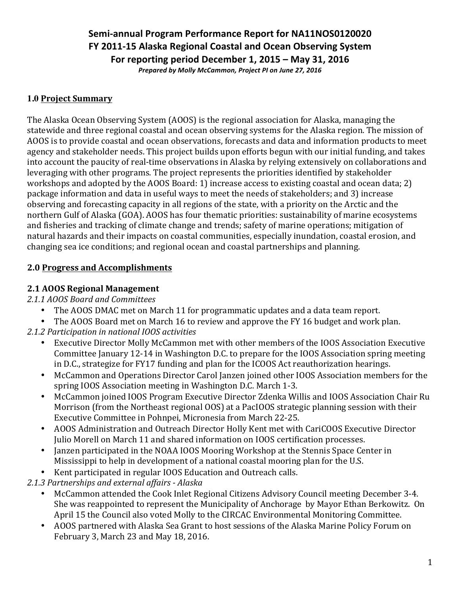# Semi-annual Program Performance Report for NA11NOS0120020 **FY 2011-15 Alaska Regional Coastal and Ocean Observing System For reporting period December 1, 2015 – May 31, 2016**

*Prepared by Molly McCammon, Project PI on June 27, 2016*

### **1.0 Project Summary**

The Alaska Ocean Observing System (AOOS) is the regional association for Alaska, managing the statewide and three regional coastal and ocean observing systems for the Alaska region. The mission of AOOS is to provide coastal and ocean observations, forecasts and data and information products to meet agency and stakeholder needs. This project builds upon efforts begun with our initial funding, and takes into account the paucity of real-time observations in Alaska by relying extensively on collaborations and leveraging with other programs. The project represents the priorities identified by stakeholder workshops and adopted by the AOOS Board: 1) increase access to existing coastal and ocean data; 2) package information and data in useful ways to meet the needs of stakeholders; and 3) increase observing and forecasting capacity in all regions of the state, with a priority on the Arctic and the northern Gulf of Alaska (GOA). AOOS has four thematic priorities: sustainability of marine ecosystems and fisheries and tracking of climate change and trends; safety of marine operations; mitigation of natural hazards and their impacts on coastal communities, especially inundation, coastal erosion, and changing sea ice conditions; and regional ocean and coastal partnerships and planning.

### **2.0 Progress and Accomplishments**

### **2.1 AOOS Regional Management**

*2.1.1 AOOS Board and Committees*

- The AOOS DMAC met on March 11 for programmatic updates and a data team report.
- The AOOS Board met on March 16 to review and approve the FY 16 budget and work plan.
- *2.1.2 Participation in national IOOS activities*
	- Executive Director Molly McCammon met with other members of the IOOS Association Executive Committee January 12-14 in Washington D.C. to prepare for the IOOS Association spring meeting in D.C., strategize for FY17 funding and plan for the ICOOS Act reauthorization hearings.
	- McCammon and Operations Director Carol Janzen joined other IOOS Association members for the spring IOOS Association meeting in Washington D.C. March 1-3.
	- McCammon joined IOOS Program Executive Director Zdenka Willis and IOOS Association Chair Ru Morrison (from the Northeast regional OOS) at a PacIOOS strategic planning session with their Executive Committee in Pohnpei, Micronesia from March 22-25.
	- AOOS Administration and Outreach Director Holly Kent met with CariCOOS Executive Director Julio Morell on March 11 and shared information on IOOS certification processes.
	- Janzen participated in the NOAA IOOS Mooring Workshop at the Stennis Space Center in Mississippi to help in development of a national coastal mooring plan for the U.S.
	- Kent participated in regular IOOS Education and Outreach calls.

*2.1.3 Partnerships and external affairs - Alaska*

- McCammon attended the Cook Inlet Regional Citizens Advisory Council meeting December 3-4. She was reappointed to represent the Municipality of Anchorage by Mayor Ethan Berkowitz. On April 15 the Council also voted Molly to the CIRCAC Environmental Monitoring Committee.
- AOOS partnered with Alaska Sea Grant to host sessions of the Alaska Marine Policy Forum on February 3, March 23 and May 18, 2016.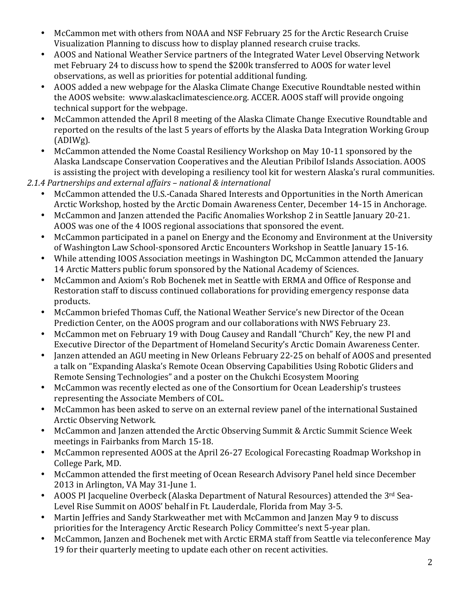- McCammon met with others from NOAA and NSF February 25 for the Arctic Research Cruise Visualization Planning to discuss how to display planned research cruise tracks.
- AOOS and National Weather Service partners of the Integrated Water Level Observing Network met February 24 to discuss how to spend the \$200k transferred to AOOS for water level observations, as well as priorities for potential additional funding.
- AOOS added a new webpage for the Alaska Climate Change Executive Roundtable nested within the AOOS website: www.alaskaclimatescience.org. ACCER. AOOS staff will provide ongoing technical support for the webpage.
- McCammon attended the April 8 meeting of the Alaska Climate Change Executive Roundtable and reported on the results of the last 5 years of efforts by the Alaska Data Integration Working Group (ADIWg).
- McCammon attended the Nome Coastal Resiliency Workshop on May 10-11 sponsored by the Alaska Landscape Conservation Cooperatives and the Aleutian Pribilof Islands Association. AOOS is assisting the project with developing a resiliency tool kit for western Alaska's rural communities.
- *2.1.4 Partnerships and external affairs – national & international*
	- McCammon attended the U.S.-Canada Shared Interests and Opportunities in the North American Arctic Workshop, hosted by the Arctic Domain Awareness Center, December 14-15 in Anchorage.
	- McCammon and Janzen attended the Pacific Anomalies Workshop 2 in Seattle January 20-21. AOOS was one of the 4 IOOS regional associations that sponsored the event.
	- McCammon participated in a panel on Energy and the Economy and Environment at the University of Washington Law School-sponsored Arctic Encounters Workshop in Seattle January 15-16.
	- While attending IOOS Association meetings in Washington DC, McCammon attended the January 14 Arctic Matters public forum sponsored by the National Academy of Sciences.
	- McCammon and Axiom's Rob Bochenek met in Seattle with ERMA and Office of Response and Restoration staff to discuss continued collaborations for providing emergency response data products.
	- McCammon briefed Thomas Cuff, the National Weather Service's new Director of the Ocean Prediction Center, on the AOOS program and our collaborations with NWS February 23.
	- McCammon met on February 19 with Doug Causey and Randall "Church" Key, the new PI and Executive Director of the Department of Homeland Security's Arctic Domain Awareness Center.
	- Janzen attended an AGU meeting in New Orleans February 22-25 on behalf of AOOS and presented a talk on "Expanding Alaska's Remote Ocean Observing Capabilities Using Robotic Gliders and Remote Sensing Technologies" and a poster on the Chukchi Ecosystem Mooring
	- McCammon was recently elected as one of the Consortium for Ocean Leadership's trustees representing the Associate Members of COL.
	- McCammon has been asked to serve on an external review panel of the international Sustained Arctic Observing Network.
	- McCammon and Janzen attended the Arctic Observing Summit & Arctic Summit Science Week meetings in Fairbanks from March 15-18.
	- McCammon represented AOOS at the April 26-27 Ecological Forecasting Roadmap Workshop in College Park, MD.
	- McCammon attended the first meeting of Ocean Research Advisory Panel held since December 2013 in Arlington, VA May 31-June 1.
	- AOOS PI Jacqueline Overbeck (Alaska Department of Natural Resources) attended the 3<sup>rd</sup> Sea-Level Rise Summit on AOOS' behalf in Ft. Lauderdale, Florida from May 3-5.
	- Martin Jeffries and Sandy Starkweather met with McCammon and Janzen May 9 to discuss priorities for the Interagency Arctic Research Policy Committee's next 5-year plan.
	- McCammon, Janzen and Bochenek met with Arctic ERMA staff from Seattle via teleconference May 19 for their quarterly meeting to update each other on recent activities.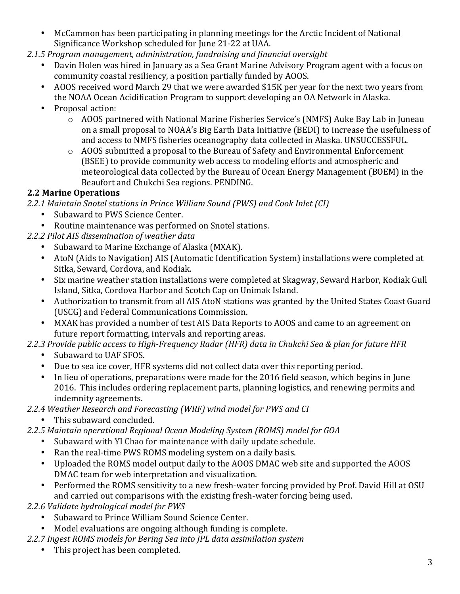- McCammon has been participating in planning meetings for the Arctic Incident of National Significance Workshop scheduled for June 21-22 at UAA.
- 2.1.5 Program management, administration, fundraising and financial oversight
	- Davin Holen was hired in January as a Sea Grant Marine Advisory Program agent with a focus on community coastal resiliency, a position partially funded by AOOS.
	- AOOS received word March 29 that we were awarded \$15K per year for the next two years from the NOAA Ocean Acidification Program to support developing an OA Network in Alaska.
	- Proposal action:
		- $\circ$  AOOS partnered with National Marine Fisheries Service's (NMFS) Auke Bay Lab in Juneau on a small proposal to NOAA's Big Earth Data Initiative (BEDI) to increase the usefulness of and access to NMFS fisheries oceanography data collected in Alaska. UNSUCCESSFUL.
		- $\circ$  AOOS submitted a proposal to the Bureau of Safety and Environmental Enforcement (BSEE) to provide community web access to modeling efforts and atmospheric and meteorological data collected by the Bureau of Ocean Energy Management (BOEM) in the Beaufort and Chukchi Sea regions. PENDING.

### **2.2 Marine Operations**

- *2.2.1 Maintain Snotel stations in Prince William Sound (PWS) and Cook Inlet (CI)*
	- Subaward to PWS Science Center.
	- Routine maintenance was performed on Snotel stations.
- *2.2.2 Pilot AIS dissemination of weather data*
	- Subaward to Marine Exchange of Alaska (MXAK).
	- AtoN (Aids to Navigation) AIS (Automatic Identification System) installations were completed at Sitka, Seward, Cordova, and Kodiak.
	- Six marine weather station installations were completed at Skagway, Seward Harbor, Kodiak Gull Island, Sitka, Cordova Harbor and Scotch Cap on Unimak Island.
	- Authorization to transmit from all AIS AtoN stations was granted by the United States Coast Guard (USCG) and Federal Communications Commission.
	- MXAK has provided a number of test AIS Data Reports to AOOS and came to an agreement on future report formatting, intervals and reporting areas.
- 2.2.3 Provide public access to High-Frequency Radar (HFR) data in Chukchi Sea & plan for future HFR
	- Subaward to UAF SFOS.
	- Due to sea ice cover, HFR systems did not collect data over this reporting period.
	- In lieu of operations, preparations were made for the 2016 field season, which begins in June 2016. This includes ordering replacement parts, planning logistics, and renewing permits and indemnity agreements.
- *2.2.4 Weather Research and Forecasting (WRF) wind model for PWS and CI*
	- This subaward concluded.
- *2.2.5 Maintain operational Regional Ocean Modeling System (ROMS) model for GOA*
	- Subaward with YI Chao for maintenance with daily update schedule.
		- Ran the real-time PWS ROMS modeling system on a daily basis.
		- Uploaded the ROMS model output daily to the AOOS DMAC web site and supported the AOOS DMAC team for web interpretation and visualization.
		- Performed the ROMS sensitivity to a new fresh-water forcing provided by Prof. David Hill at OSU and carried out comparisons with the existing fresh-water forcing being used.
- 2.2.6 Validate hydrological model for PWS
	- Subaward to Prince William Sound Science Center.
	- Model evaluations are ongoing although funding is complete.
- 2.2.7 Ingest ROMS models for Bering Sea into JPL data assimilation system
	- This project has been completed.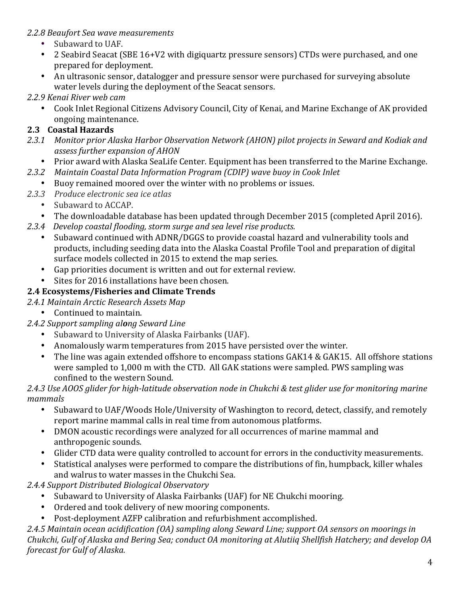### *2.2.8 Beaufort Sea wave measurements*

- Subaward to UAF.
- 2 Seabird Seacat (SBE 16+V2 with digiquartz pressure sensors) CTDs were purchased, and one prepared for deployment.
- An ultrasonic sensor, datalogger and pressure sensor were purchased for surveying absolute water levels during the deployment of the Seacat sensors.

### *2.2.9 Kenai River web cam*

Cook Inlet Regional Citizens Advisory Council, City of Kenai, and Marine Exchange of AK provided ongoing maintenance.

### **2.3 Coastal Hazards**

- 2.3.1 Monitor prior Alaska Harbor Observation Network (AHON) pilot projects in Seward and Kodiak and *assess further expansion of AHON*
	- Prior award with Alaska SeaLife Center. Equipment has been transferred to the Marine Exchange.
- *2.3.2 Maintain Coastal Data Information Program (CDIP) wave buoy in Cook Inlet*
- Buoy remained moored over the winter with no problems or issues.
- *2.3.3 Produce electronic sea ice atlas*
	- Subaward to ACCAP.
	- The downloadable database has been updated through December 2015 (completed April 2016).
- *2.3.4 Develop coastal flooding, storm surge and sea level rise products.*
	- Subaward continued with ADNR/DGGS to provide coastal hazard and vulnerability tools and products, including seeding data into the Alaska Coastal Profile Tool and preparation of digital surface models collected in 2015 to extend the map series.
	- Gap priorities document is written and out for external review.
	- Sites for 2016 installations have been chosen.

### **2.4 Ecosystems/Fisheries and Climate Trends**

- *2.4.1 Maintain Arctic Research Assets Map*
	- Continued to maintain.

### *2.4.2 Support sampling along Seward Line*

- Subaward to University of Alaska Fairbanks (UAF).
- Anomalously warm temperatures from 2015 have persisted over the winter.
- The line was again extended offshore to encompass stations GAK14 & GAK15. All offshore stations were sampled to 1,000 m with the CTD. All GAK stations were sampled. PWS sampling was confined to the western Sound.

#### 2.4.3 Use AOOS glider for high-latitude observation node in Chukchi & test glider use for monitoring marine *mammals*

- Subaward to UAF/Woods Hole/University of Washington to record, detect, classify, and remotely report marine mammal calls in real time from autonomous platforms.
- DMON acoustic recordings were analyzed for all occurrences of marine mammal and anthropogenic sounds.
- Glider CTD data were quality controlled to account for errors in the conductivity measurements.
- Statistical analyses were performed to compare the distributions of fin, humpback, killer whales and walrus to water masses in the Chukchi Sea.
- *2.4.4 Support Distributed Biological Observatory*
	- Subaward to University of Alaska Fairbanks (UAF) for NE Chukchi mooring.
	- Ordered and took delivery of new mooring components.
	- Post-deployment AZFP calibration and refurbishment accomplished.

*2.4.5 Maintain ocean acidification (OA) sampling along Seward Line; support OA sensors on moorings in Chukchi, Gulf of Alaska and Bering Sea; conduct OA monitoring at Alutiiq Shellfish Hatchery; and develop OA forecast for Gulf of Alaska.*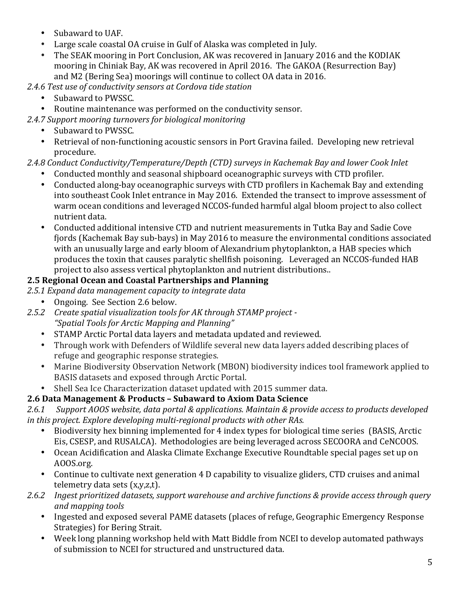- Subaward to UAF.
- Large scale coastal OA cruise in Gulf of Alaska was completed in July.
- The SEAK mooring in Port Conclusion, AK was recovered in January 2016 and the KODIAK mooring in Chiniak Bay, AK was recovered in April 2016. The GAKOA (Resurrection Bay) and M2 (Bering Sea) moorings will continue to collect OA data in 2016.
- 2.4.6 Test use of conductivity sensors at Cordova tide station
	- Subaward to PWSSC.
- Routine maintenance was performed on the conductivity sensor.
- 2.4.7 Support mooring turnovers for biological monitoring
	- Subaward to PWSSC.
	- Retrieval of non-functioning acoustic sensors in Port Gravina failed. Developing new retrieval procedure.
- 2.4.8 Conduct Conductivity/Temperature/Depth (CTD) surveys in Kachemak Bay and lower Cook Inlet
	- Conducted monthly and seasonal shipboard oceanographic surveys with CTD profiler.
	- Conducted along-bay oceanographic surveys with CTD profilers in Kachemak Bay and extending into southeast Cook Inlet entrance in May 2016. Extended the transect to improve assessment of warm ocean conditions and leveraged NCCOS-funded harmful algal bloom project to also collect nutrient data.
	- Conducted additional intensive CTD and nutrient measurements in Tutka Bay and Sadie Cove fjords (Kachemak Bay sub-bays) in May 2016 to measure the environmental conditions associated with an unusually large and early bloom of Alexandrium phytoplankton, a HAB species which produces the toxin that causes paralytic shellfish poisoning. Leveraged an NCCOS-funded HAB project to also assess vertical phytoplankton and nutrient distributions..

# 2.5 Regional Ocean and Coastal Partnerships and Planning

- 2.5.1 Expand data management capacity to integrate data
	- Ongoing. See Section 2.6 below.
- 2.5.2 Create spatial visualization tools for AK through STAMP project -*"Spatial Tools for Arctic Mapping and Planning"*
	- STAMP Arctic Portal data layers and metadata updated and reviewed.
	- Through work with Defenders of Wildlife several new data layers added describing places of refuge and geographic response strategies.
	- Marine Biodiversity Observation Network (MBON) biodiversity indices tool framework applied to BASIS datasets and exposed through Arctic Portal.
	- Shell Sea Ice Characterization dataset updated with 2015 summer data.

# **2.6 Data Management & Products – Subaward to Axiom Data Science**

2.6.1 Support AOOS website, data portal & applications. Maintain & provide access to products developed *in this project.* Explore developing multi-regional products with other RAs.

- Biodiversity hex binning implemented for 4 index types for biological time series (BASIS, Arctic Eis, CSESP, and RUSALCA). Methodologies are being leveraged across SECOORA and CeNCOOS.
- Ocean Acidification and Alaska Climate Exchange Executive Roundtable special pages set up on AOOS.org.
- Continue to cultivate next generation 4 D capability to visualize gliders, CTD cruises and animal telemetry data sets (x,y,z,t).
- 2.6.2 Ingest prioritized datasets, support warehouse and archive functions & provide access through query *and mapping tools*
	- Ingested and exposed several PAME datasets (places of refuge, Geographic Emergency Response Strategies) for Bering Strait.
	- Week long planning workshop held with Matt Biddle from NCEI to develop automated pathways of submission to NCEI for structured and unstructured data.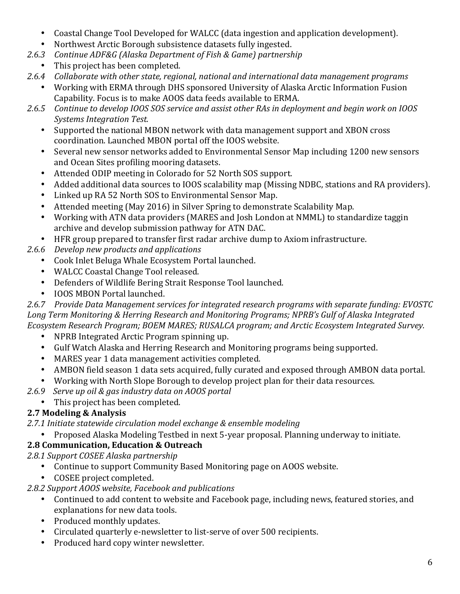- Coastal Change Tool Developed for WALCC (data ingestion and application development).
- Northwest Arctic Borough subsistence datasets fully ingested.
- *2.6.3 Continue ADF&G (Alaska Department of Fish & Game) partnership*
	- This project has been completed.
- 2.6.4 *Collaborate with other state, regional, national and international data management programs* 
	- Working with ERMA through DHS sponsored University of Alaska Arctic Information Fusion Capability. Focus is to make AOOS data feeds available to ERMA.
- 2.6.5 Continue to develop IOOS SOS service and assist other RAs in deployment and begin work on IOOS *Systems Integration Test.*
	- Supported the national MBON network with data management support and XBON cross coordination. Launched MBON portal off the IOOS website.
	- Several new sensor networks added to Environmental Sensor Map including 1200 new sensors and Ocean Sites profiling mooring datasets.
	- Attended ODIP meeting in Colorado for 52 North SOS support.
	- Added additional data sources to IOOS scalability map (Missing NDBC, stations and RA providers).
	- Linked up RA 52 North SOS to Environmental Sensor Map.
	- Attended meeting (May 2016) in Silver Spring to demonstrate Scalability Map.
	- Working with ATN data providers (MARES and Josh London at NMML) to standardize taggin archive and develop submission pathway for ATN DAC.
	- HFR group prepared to transfer first radar archive dump to Axiom infrastructure.
- 2.6.6 *Develop new products and applications* 
	- Cook Inlet Beluga Whale Ecosystem Portal launched.
	- WALCC Coastal Change Tool released.
	- Defenders of Wildlife Bering Strait Response Tool launched.
	- IOOS MBON Portal launched.

2.6.7 Provide Data Management services for integrated research programs with separate funding: EVOSTC Long Term Monitoring & Herring Research and Monitoring Programs; NPRB's Gulf of Alaska Integrated *Ecosystem Research Program; BOEM MARES; RUSALCA program; and Arctic Ecosystem Integrated Survey.*

- NPRB Integrated Arctic Program spinning up.
- Gulf Watch Alaska and Herring Research and Monitoring programs being supported.
- MARES year 1 data management activities completed.
- AMBON field season 1 data sets acquired, fully curated and exposed through AMBON data portal.
- Working with North Slope Borough to develop project plan for their data resources.
- *2.6.9 Serve up oil & gas industry data on AOOS portal*
	- This project has been completed.

# **2.7 Modeling & Analysis**

2.7.1 Initiate statewide circulation model exchange & ensemble modeling

Proposed Alaska Modeling Testbed in next 5-year proposal. Planning underway to initiate.

# **2.8 Communication, Education & Outreach**

*2.8.1 Support COSEE Alaska partnership*

- Continue to support Community Based Monitoring page on AOOS website.
	- COSEE project completed.
- *2.8.2 Support AOOS website, Facebook and publications*
	- Continued to add content to website and Facebook page, including news, featured stories, and explanations for new data tools.
	- Produced monthly updates.
	- Circulated quarterly e-newsletter to list-serve of over 500 recipients.
	- Produced hard copy winter newsletter.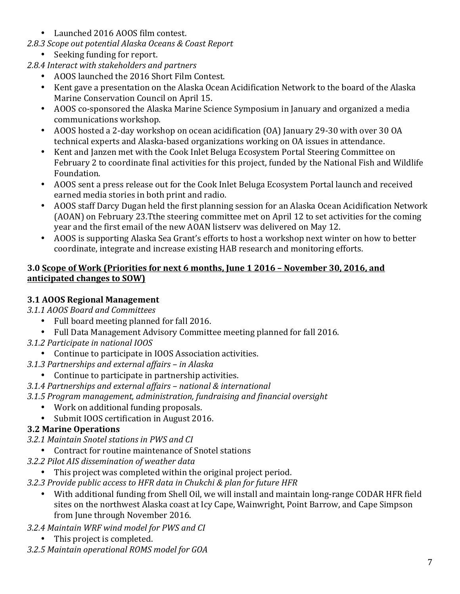- Launched 2016 AOOS film contest.
- *2.8.3 Scope out potential Alaska Oceans & Coast Report*
	- Seeking funding for report.

2.8.4 Interact with stakeholders and partners

- AOOS launched the 2016 Short Film Contest.
- Kent gave a presentation on the Alaska Ocean Acidification Network to the board of the Alaska Marine Conservation Council on April 15.
- AOOS co-sponsored the Alaska Marine Science Symposium in January and organized a media communications workshop.
- AOOS hosted a 2-day workshop on ocean acidification (OA) January 29-30 with over 30 OA technical experts and Alaska-based organizations working on OA issues in attendance.
- Kent and Janzen met with the Cook Inlet Beluga Ecosystem Portal Steering Committee on February 2 to coordinate final activities for this project, funded by the National Fish and Wildlife Foundation.
- AOOS sent a press release out for the Cook Inlet Beluga Ecosystem Portal launch and received earned media stories in both print and radio.
- AOOS staff Darcy Dugan held the first planning session for an Alaska Ocean Acidification Network (AOAN) on February 23.Tthe steering committee met on April 12 to set activities for the coming year and the first email of the new AOAN listsery was delivered on May 12.
- AOOS is supporting Alaska Sea Grant's efforts to host a workshop next winter on how to better coordinate, integrate and increase existing HAB research and monitoring efforts.

### **3.0 Scope of Work (Priorities for next 6 months, June 1 2016 - November 30, 2016, and anticipated changes to SOW)**

### **3.1 AOOS Regional Management**

*3.1.1 AOOS Board and Committees*

- Full board meeting planned for fall 2016.
- Full Data Management Advisory Committee meeting planned for fall 2016.
- *3.1.2 Participate in national IOOS*
	- Continue to participate in IOOS Association activities.
- *3.1.3 Partnerships and external affairs – in Alaska*
	- Continue to participate in partnership activities.
- *3.1.4 Partnerships and external affairs – national & international*
- *3.1.5 Program management, administration, fundraising and financial oversight*
	- Work on additional funding proposals.
	- Submit IOOS certification in August 2016.

### **3.2 Marine Operations**

- *3.2.1 Maintain Snotel stations in PWS and CI*
	- Contract for routine maintenance of Snotel stations
- *3.2.2 Pilot AIS dissemination of weather data*
	- This project was completed within the original project period.
- *3.2.3 Provide public access to HFR data in Chukchi & plan for future HFR*
	- With additional funding from Shell Oil, we will install and maintain long-range CODAR HFR field sites on the northwest Alaska coast at Icy Cape, Wainwright, Point Barrow, and Cape Simpson from June through November 2016.
- *3.2.4 Maintain WRF wind model for PWS and CI*
	- This project is completed.
- *3.2.5 Maintain operational ROMS model for GOA*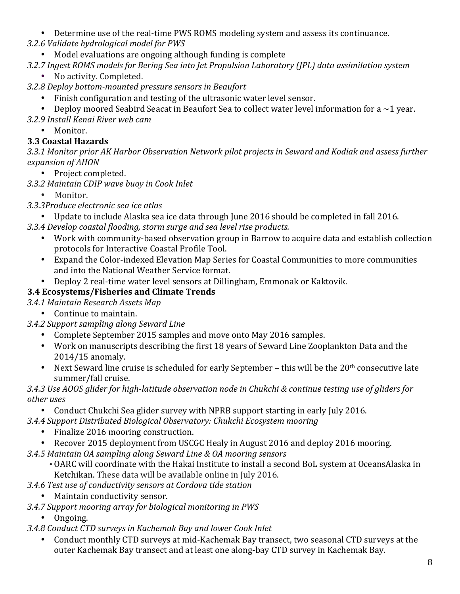• Determine use of the real-time PWS ROMS modeling system and assess its continuance.

*3.2.6 Validate hydrological model for PWS*

• Model evaluations are ongoing although funding is complete

*3.2.7 Ingest ROMS models for Bering Sea into Jet Propulsion Laboratory (JPL) data assimilation system*

No activity. Completed.

*3.2.8 Deploy bottom-mounted pressure sensors in Beaufort*

- Finish configuration and testing of the ultrasonic water level sensor.
- Deploy moored Seabird Seacat in Beaufort Sea to collect water level information for a  $\sim$ 1 year.

*3.2.9 Install Kenai River web cam*

• Monitor.

### **3.3 Coastal Hazards**

3.3.1 Monitor prior AK Harbor Observation Network pilot projects in Seward and Kodiak and assess further *expansion of AHON*

• Project completed.

- *3.3.2 Maintain CDIP wave buoy in Cook Inlet*
	- Monitor.
- *3.3.3Produce electronic sea ice atlas*
	- Update to include Alaska sea ice data through June 2016 should be completed in fall 2016.
- 3.3.4 Develop coastal flooding, storm surge and sea level rise products.
	- Work with community-based observation group in Barrow to acquire data and establish collection protocols for Interactive Coastal Profile Tool.
	- Expand the Color-indexed Elevation Map Series for Coastal Communities to more communities and into the National Weather Service format.
	- Deploy 2 real-time water level sensors at Dillingham, Emmonak or Kaktovik.

# **3.4 Ecosystems/Fisheries and Climate Trends**

### *3.4.1 Maintain Research Assets Map*

• Continue to maintain.

### *3.4.2 Support sampling along Seward Line*

- Complete September 2015 samples and move onto May 2016 samples.
- Work on manuscripts describing the first 18 years of Seward Line Zooplankton Data and the 2014/15 anomaly.
- Next Seward line cruise is scheduled for early September this will be the  $20<sup>th</sup>$  consecutive late summer/fall cruise.

### *3.4.3 Use AOOS glider for high-latitude observation node in Chukchi & continue testing use of gliders for other uses*

Conduct Chukchi Sea glider survey with NPRB support starting in early July 2016.

### *3.4.4 Support Distributed Biological Observatory: Chukchi Ecosystem mooring*

- Finalize 2016 mooring construction.
- Recover 2015 deployment from USCGC Healy in August 2016 and deploy 2016 mooring.
- *3.4.5 Maintain OA sampling along Seward Line & OA mooring sensors*
	- OARC will coordinate with the Hakai Institute to install a second BoL system at OceansAlaska in Ketchikan. These data will be available online in July 2016.
- *3.4.6 Test use of conductivity sensors at Cordova tide station*
	- Maintain conductivity sensor.
- *3.4.7 Support mooring array for biological monitoring in PWS*
	- Ongoing.
- *3.4.8 Conduct CTD surveys in Kachemak Bay and lower Cook Inlet*
	- Conduct monthly CTD surveys at mid-Kachemak Bay transect, two seasonal CTD surveys at the outer Kachemak Bay transect and at least one along-bay CTD survey in Kachemak Bay.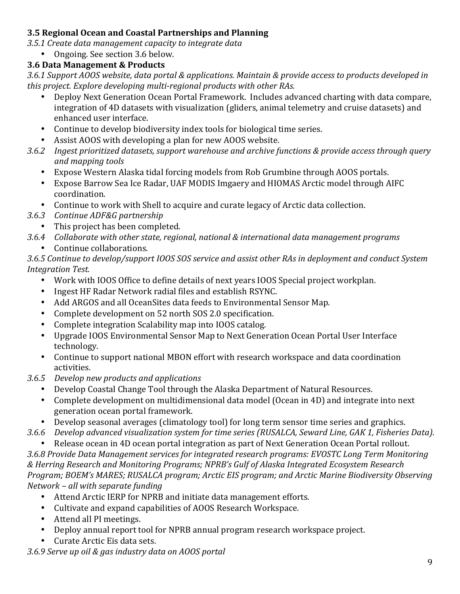### **3.5 Regional Ocean and Coastal Partnerships and Planning**

*3.5.1 Create data management capacity to integrate data*

Ongoing. See section 3.6 below.

### **3.6 Data Management & Products**

*3.6.1 Support AOOS website, data portal & applications. Maintain & provide access to products developed in*  this project. Explore developing multi-regional products with other RAs.

- Deploy Next Generation Ocean Portal Framework. Includes advanced charting with data compare, integration of 4D datasets with visualization (gliders, animal telemetry and cruise datasets) and enhanced user interface.
- Continue to develop biodiversity index tools for biological time series.
- Assist AOOS with developing a plan for new AOOS website.
- 3.6.2 Ingest prioritized datasets, support warehouse and archive functions & provide access through query *and mapping tools*
	- Expose Western Alaska tidal forcing models from Rob Grumbine through AOOS portals.
	- Expose Barrow Sea Ice Radar, UAF MODIS Imgaery and HIOMAS Arctic model through AIFC coordination.
	- Continue to work with Shell to acquire and curate legacy of Arctic data collection.
- *3.6.3 Continue ADF&G partnership*
	- This project has been completed.
- *3.6.4 Collaborate with other state, regional, national & international data management programs* Continue collaborations.

*3.6.5 Continue to develop/support IOOS SOS service and assist other RAs in deployment and conduct System Integration Test.*

- Work with IOOS Office to define details of next years IOOS Special project workplan.
- Ingest HF Radar Network radial files and establish RSYNC.
- Add ARGOS and all OceanSites data feeds to Environmental Sensor Map.
- Complete development on 52 north SOS 2.0 specification.
- Complete integration Scalability map into IOOS catalog.
- Upgrade IOOS Environmental Sensor Map to Next Generation Ocean Portal User Interface technology.
- Continue to support national MBON effort with research workspace and data coordination activities.
- *3.6.5 Develop new products and applications* 
	- Develop Coastal Change Tool through the Alaska Department of Natural Resources.
	- Complete development on multidimensional data model (Ocean in 4D) and integrate into next generation ocean portal framework.
	- Develop seasonal averages (climatology tool) for long term sensor time series and graphics.

3.6.6 *Develop* advanced visualization system for time series (RUSALCA, Seward Line, GAK 1, Fisheries Data).

Release ocean in 4D ocean portal integration as part of Next Generation Ocean Portal rollout. 3.6.8 Provide Data Management services for integrated research programs: EVOSTC Long Term Monitoring  $&$  Herring Research and Monitoring Programs; NPRB's Gulf of Alaska Integrated Ecosystem Research Program; BOEM's MARES; RUSALCA program; Arctic EIS program; and Arctic Marine Biodiversity Observing *Network – all with separate funding*

- Attend Arctic IERP for NPRB and initiate data management efforts.
- Cultivate and expand capabilities of AOOS Research Workspace.
- Attend all PI meetings.
- Deploy annual report tool for NPRB annual program research workspace project.
- Curate Arctic Eis data sets.

*3.6.9 Serve up oil & gas industry data on AOOS portal*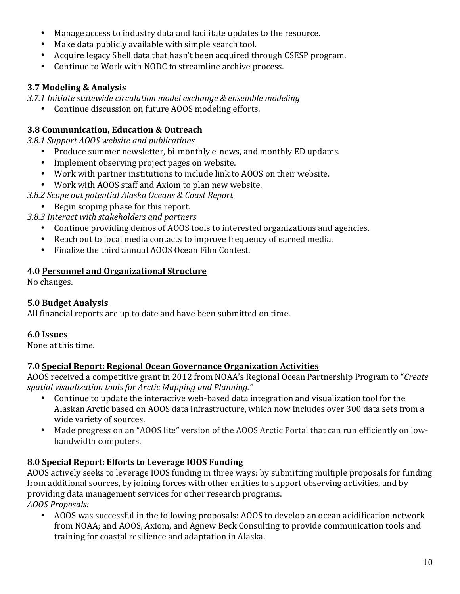- Manage access to industry data and facilitate updates to the resource.
- Make data publicly available with simple search tool.
- Acquire legacy Shell data that hasn't been acquired through CSESP program.
- Continue to Work with NODC to streamline archive process.

### **3.7 Modeling & Analysis**

*3.7.1 Initiate statewide circulation model exchange & ensemble modeling*

• Continue discussion on future AOOS modeling efforts.

### **3.8 Communication, Education & Outreach**

*3.8.1 Support AOOS website and publications*

- Produce summer newsletter, bi-monthly e-news, and monthly ED updates.
- Implement observing project pages on website.
- Work with partner institutions to include link to AOOS on their website.
- Work with AOOS staff and Axiom to plan new website.
- *3.8.2 Scope out potential Alaska Oceans & Coast Report*
- Begin scoping phase for this report.

*3.8.3 Interact with stakeholders and partners*

- Continue providing demos of AOOS tools to interested organizations and agencies.
- Reach out to local media contacts to improve frequency of earned media.
- Finalize the third annual AOOS Ocean Film Contest.

### **4.0 Personnel and Organizational Structure**

No changes.

### **5.0 Budget Analysis**

All financial reports are up to date and have been submitted on time.

#### **6.0 Issues**

None at this time.

#### **7.0 Special Report: Regional Ocean Governance Organization Activities**

AOOS received a competitive grant in 2012 from NOAA's Regional Ocean Partnership Program to "*Create* spatial visualization tools for Arctic Mapping and Planning."

- Continue to update the interactive web-based data integration and visualization tool for the Alaskan Arctic based on AOOS data infrastructure, which now includes over 300 data sets from a wide variety of sources.
- Made progress on an "AOOS lite" version of the AOOS Arctic Portal that can run efficiently on lowbandwidth computers.

### **8.0 Special Report: Efforts to Leverage IOOS Funding**

AOOS actively seeks to leverage IOOS funding in three ways: by submitting multiple proposals for funding from additional sources, by joining forces with other entities to support observing activities, and by providing data management services for other research programs. *AOOS Proposals:*

AOOS was successful in the following proposals: AOOS to develop an ocean acidification network from NOAA; and AOOS, Axiom, and Agnew Beck Consulting to provide communication tools and training for coastal resilience and adaptation in Alaska.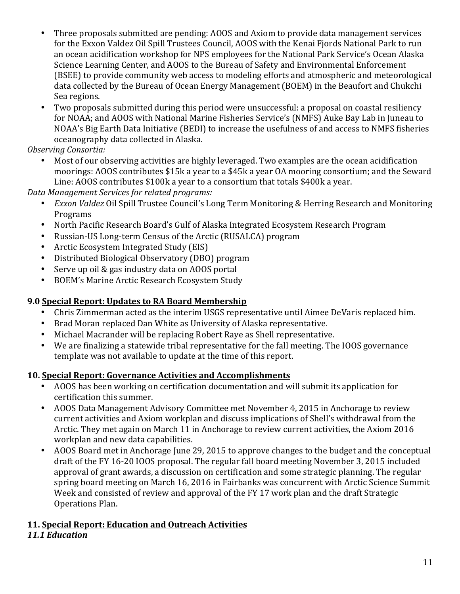- Three proposals submitted are pending: AOOS and Axiom to provide data management services for the Exxon Valdez Oil Spill Trustees Council, AOOS with the Kenai Fjords National Park to run an ocean acidification workshop for NPS employees for the National Park Service's Ocean Alaska Science Learning Center, and AOOS to the Bureau of Safety and Environmental Enforcement (BSEE) to provide community web access to modeling efforts and atmospheric and meteorological data collected by the Bureau of Ocean Energy Management (BOEM) in the Beaufort and Chukchi Sea regions.
- Two proposals submitted during this period were unsuccessful: a proposal on coastal resiliency for NOAA; and AOOS with National Marine Fisheries Service's (NMFS) Auke Bay Lab in Juneau to NOAA's Big Earth Data Initiative (BEDI) to increase the usefulness of and access to NMFS fisheries oceanography data collected in Alaska.

*Observing Consortia:*

Most of our observing activities are highly leveraged. Two examples are the ocean acidification moorings: AOOS contributes \$15k a year to a \$45k a year OA mooring consortium; and the Seward Line: AOOS contributes \$100k a year to a consortium that totals \$400k a year.

*Data Management Services for related programs:*

- *Exxon Valdez* Oil Spill Trustee Council's Long Term Monitoring & Herring Research and Monitoring Programs
- North Pacific Research Board's Gulf of Alaska Integrated Ecosystem Research Program
- Russian-US Long-term Census of the Arctic (RUSALCA) program
- Arctic Ecosystem Integrated Study (EIS)
- Distributed Biological Observatory (DBO) program
- Serve up oil & gas industry data on AOOS portal
- BOEM's Marine Arctic Research Ecosystem Study

### **9.0 Special Report: Updates to RA Board Membership**

- Chris Zimmerman acted as the interim USGS representative until Aimee DeVaris replaced him.
- Brad Moran replaced Dan White as University of Alaska representative.
- Michael Macrander will be replacing Robert Raye as Shell representative.
- We are finalizing a statewide tribal representative for the fall meeting. The IOOS governance template was not available to update at the time of this report.

### **10. Special Report: Governance Activities and Accomplishments**

- AOOS has been working on certification documentation and will submit its application for certification this summer.
- AOOS Data Management Advisory Committee met November 4, 2015 in Anchorage to review current activities and Axiom workplan and discuss implications of Shell's withdrawal from the Arctic. They met again on March 11 in Anchorage to review current activities, the Axiom 2016 workplan and new data capabilities.
- AOOS Board met in Anchorage Iune 29, 2015 to approve changes to the budget and the conceptual draft of the FY 16-20 IOOS proposal. The regular fall board meeting November 3, 2015 included approval of grant awards, a discussion on certification and some strategic planning. The regular spring board meeting on March 16, 2016 in Fairbanks was concurrent with Arctic Science Summit Week and consisted of review and approval of the FY 17 work plan and the draft Strategic Operations Plan.

# **11. Special Report: Education and Outreach Activities**

#### *11.1 Education*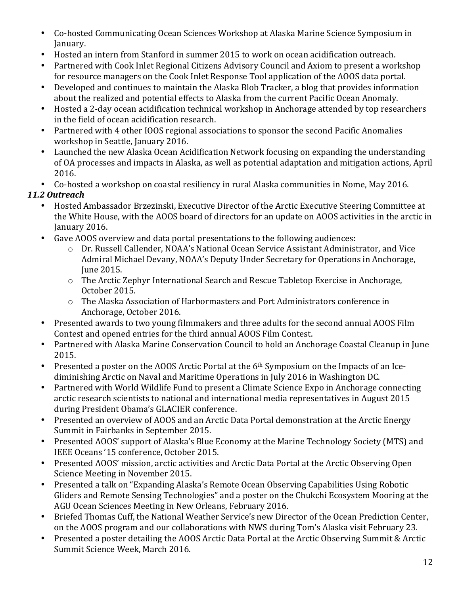- Co-hosted Communicating Ocean Sciences Workshop at Alaska Marine Science Symposium in January.
- Hosted an intern from Stanford in summer 2015 to work on ocean acidification outreach.
- Partnered with Cook Inlet Regional Citizens Advisory Council and Axiom to present a workshop for resource managers on the Cook Inlet Response Tool application of the AOOS data portal.
- Developed and continues to maintain the Alaska Blob Tracker, a blog that provides information about the realized and potential effects to Alaska from the current Pacific Ocean Anomaly.
- Hosted a 2-day ocean acidification technical workshop in Anchorage attended by top researchers in the field of ocean acidification research.
- Partnered with 4 other IOOS regional associations to sponsor the second Pacific Anomalies workshop in Seattle, January 2016.
- Launched the new Alaska Ocean Acidification Network focusing on expanding the understanding of OA processes and impacts in Alaska, as well as potential adaptation and mitigation actions, April 2016.
- Co-hosted a workshop on coastal resiliency in rural Alaska communities in Nome, May 2016.

### *11.2 Outreach*

- Hosted Ambassador Brzezinski, Executive Director of the Arctic Executive Steering Committee at the White House, with the AOOS board of directors for an update on AOOS activities in the arctic in January 2016.
- Gave AOOS overview and data portal presentations to the following audiences:
	- o Dr. Russell Callender, NOAA's National Ocean Service Assistant Administrator, and Vice Admiral Michael Devany, NOAA's Deputy Under Secretary for Operations in Anchorage, June 2015.
	- o The Arctic Zephyr International Search and Rescue Tabletop Exercise in Anchorage, October 2015.
	- o The Alaska Association of Harbormasters and Port Administrators conference in Anchorage, October 2016.
- Presented awards to two young filmmakers and three adults for the second annual AOOS Film Contest and opened entries for the third annual AOOS Film Contest.
- Partnered with Alaska Marine Conservation Council to hold an Anchorage Coastal Cleanup in June 2015.
- Presented a poster on the AOOS Arctic Portal at the  $6<sup>th</sup>$  Symposium on the Impacts of an Icediminishing Arctic on Naval and Maritime Operations in July 2016 in Washington DC.
- Partnered with World Wildlife Fund to present a Climate Science Expo in Anchorage connecting arctic research scientists to national and international media representatives in August 2015 during President Obama's GLACIER conference.
- Presented an overview of AOOS and an Arctic Data Portal demonstration at the Arctic Energy Summit in Fairbanks in September 2015.
- Presented AOOS' support of Alaska's Blue Economy at the Marine Technology Society (MTS) and IEEE Oceans '15 conference, October 2015.
- Presented AOOS' mission, arctic activities and Arctic Data Portal at the Arctic Observing Open Science Meeting in November 2015.
- Presented a talk on "Expanding Alaska's Remote Ocean Observing Capabilities Using Robotic Gliders and Remote Sensing Technologies" and a poster on the Chukchi Ecosystem Mooring at the AGU Ocean Sciences Meeting in New Orleans, February 2016.
- Briefed Thomas Cuff, the National Weather Service's new Director of the Ocean Prediction Center, on the AOOS program and our collaborations with NWS during Tom's Alaska visit February 23.
- Presented a poster detailing the AOOS Arctic Data Portal at the Arctic Observing Summit & Arctic Summit Science Week, March 2016.